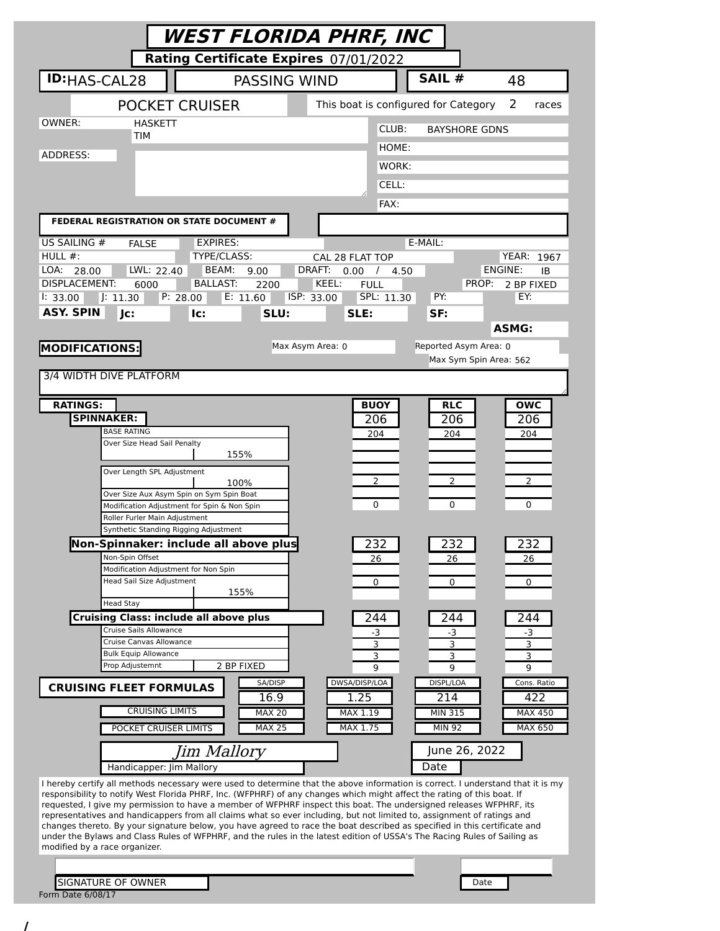| <b>WEST FLORIDA PHRF, INC</b>                                                                                                                                                                                                                              |                                                  |                        |                             |  |
|------------------------------------------------------------------------------------------------------------------------------------------------------------------------------------------------------------------------------------------------------------|--------------------------------------------------|------------------------|-----------------------------|--|
| Rating Certificate Expires 07/01/2022                                                                                                                                                                                                                      |                                                  |                        |                             |  |
| <b>ID:</b> HAS-CAL28<br><b>PASSING WIND</b>                                                                                                                                                                                                                |                                                  | SAIL #                 | 48                          |  |
| <b>POCKET CRUISER</b>                                                                                                                                                                                                                                      | This boat is configured for Category             |                        | 2<br>races                  |  |
| OWNER:<br><b>HASKETT</b><br>TIM                                                                                                                                                                                                                            | CLUB:                                            | <b>BAYSHORE GDNS</b>   |                             |  |
| ADDRESS:                                                                                                                                                                                                                                                   | HOME:                                            |                        |                             |  |
|                                                                                                                                                                                                                                                            | WORK:                                            |                        |                             |  |
|                                                                                                                                                                                                                                                            | CELL:                                            |                        |                             |  |
| FEDERAL REGISTRATION OR STATE DOCUMENT #                                                                                                                                                                                                                   | FAX:                                             |                        |                             |  |
| US SAILING #<br><b>EXPIRES:</b><br><b>FALSE</b>                                                                                                                                                                                                            |                                                  | E-MAIL:                |                             |  |
| HULL $#$ :<br>TYPE/CLASS:                                                                                                                                                                                                                                  | CAL 28 FLAT TOP                                  |                        | YEAR:<br>1967               |  |
| LOA:<br>LWL: 22.40<br>BEAM:<br>28.00<br>9.00<br><b>DISPLACEMENT:</b><br><b>BALLAST:</b><br>6000<br>2200                                                                                                                                                    | DRAFT:<br>0.00 /<br>4.50<br>KEEL:<br><b>FULL</b> | PROP:                  | ENGINE:<br>IB<br>2 BP FIXED |  |
| P: 28.00<br>E: 11.60<br>1: 33.00<br>J: 11.30                                                                                                                                                                                                               | SPL: 11.30<br>ISP: 33.00                         | PY:                    | EY:                         |  |
| <b>ASY. SPIN</b><br>Jc:<br>SLU:<br>lc:                                                                                                                                                                                                                     | SLE:                                             | SF:                    |                             |  |
|                                                                                                                                                                                                                                                            | Max Asym Area: 0                                 | Reported Asym Area: 0  | <b>ASMG:</b>                |  |
| <b>MODIFICATIONS:</b>                                                                                                                                                                                                                                      |                                                  | Max Sym Spin Area: 562 |                             |  |
| 3/4 WIDTH DIVE PLATFORM                                                                                                                                                                                                                                    |                                                  |                        |                             |  |
| <b>RATINGS:</b>                                                                                                                                                                                                                                            | <b>BUOY</b>                                      | <b>RLC</b>             | <b>OWC</b>                  |  |
| <b>SPINNAKER:</b><br><b>BASE RATING</b>                                                                                                                                                                                                                    | 206                                              | 206                    | 206                         |  |
| Over Size Head Sail Penalty                                                                                                                                                                                                                                | 204                                              | 204                    | 204                         |  |
| 155%<br>Over Length SPL Adjustment                                                                                                                                                                                                                         |                                                  |                        |                             |  |
| 100%                                                                                                                                                                                                                                                       | $\overline{2}$                                   | $\overline{2}$         | 2                           |  |
| Over Size Aux Asym Spin on Sym Spin Boat<br>Modification Adjustment for Spin & Non Spin                                                                                                                                                                    | 0                                                | $\Omega$               | 0                           |  |
| Roller Furler Main Adjustment<br>Synthetic Standing Rigging Adjustment                                                                                                                                                                                     |                                                  |                        |                             |  |
| Non-Spinnaker: include all above plus                                                                                                                                                                                                                      | 232                                              | 232                    | 232                         |  |
| Non-Spin Offset<br>Modification Adjustment for Non Spin                                                                                                                                                                                                    | 26                                               | 26                     | 26                          |  |
| Head Sail Size Adjustment<br>155%                                                                                                                                                                                                                          | 0                                                | 0                      | 0                           |  |
| <b>Head Stay</b>                                                                                                                                                                                                                                           |                                                  |                        |                             |  |
| <b>Cruising Class: include all above plus</b><br>Cruise Sails Allowance                                                                                                                                                                                    | 244<br>-3                                        | 244<br>-3              | 244<br>-3                   |  |
| Cruise Canvas Allowance<br><b>Bulk Equip Allowance</b>                                                                                                                                                                                                     | 3<br>3                                           | 3                      | 3                           |  |
| Prop Adjustemnt<br>2 BP FIXED                                                                                                                                                                                                                              | 9                                                | З<br>9                 | 3<br>9                      |  |
| SA/DISP<br><b>CRUISING FLEET FORMULAS</b><br>16.9                                                                                                                                                                                                          | DWSA/DISP/LOA<br>1.25                            | DISPL/LOA<br>214       | Cons. Ratio<br>422          |  |
| <b>CRUISING LIMITS</b><br><b>MAX 20</b>                                                                                                                                                                                                                    | MAX 1.19                                         | MIN 315                | <b>MAX 450</b>              |  |
| <b>MAX 25</b><br>POCKET CRUISER LIMITS                                                                                                                                                                                                                     | MAX 1.75                                         | <b>MIN 92</b>          | <b>MAX 650</b>              |  |
| Jim Mallory                                                                                                                                                                                                                                                |                                                  | June 26, 2022          |                             |  |
| Handicapper: Jim Mallory                                                                                                                                                                                                                                   |                                                  | Date                   |                             |  |
| I hereby certify all methods necessary were used to determine that the above information is correct. I understand that it is my<br>responsibility to notify West Florida PHRF, Inc. (WFPHRF) of any changes which might affect the rating of this boat. If |                                                  |                        |                             |  |
| requested, I give my permission to have a member of WFPHRF inspect this boat. The undersigned releases WFPHRF, its<br>representatives and handicappers from all claims what so ever including, but not limited to, assignment of ratings and               |                                                  |                        |                             |  |
| changes thereto. By your signature below, you have agreed to race the boat described as specified in this certificate and<br>under the Bylaws and Class Rules of WFPHRF, and the rules in the latest edition of USSA's The Racing Rules of Sailing as      |                                                  |                        |                             |  |
| modified by a race organizer.                                                                                                                                                                                                                              |                                                  |                        |                             |  |
| <b>SIGNATURE OF OWNER</b>                                                                                                                                                                                                                                  |                                                  | Date                   |                             |  |
| Form Date 6/08/17                                                                                                                                                                                                                                          |                                                  |                        |                             |  |

/